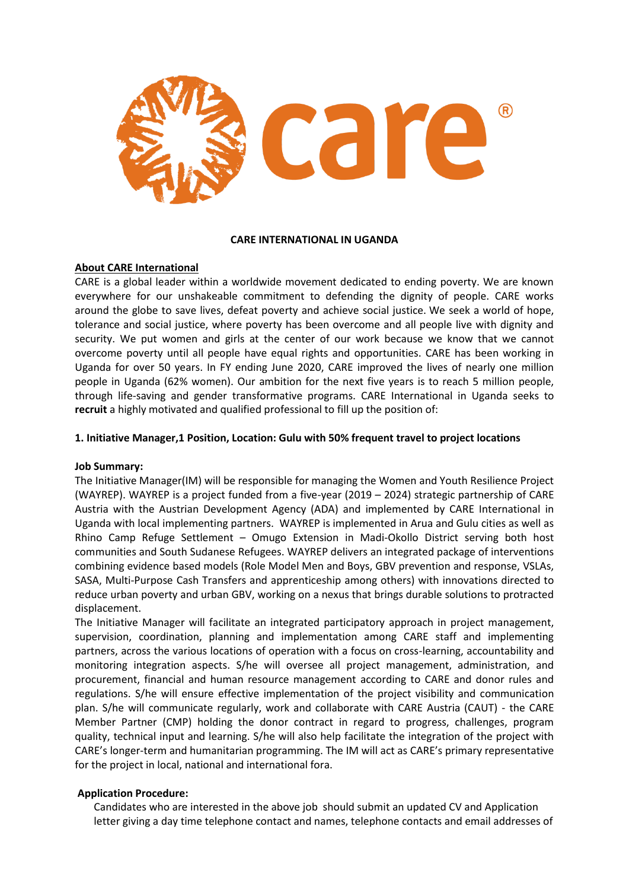

#### **CARE INTERNATIONAL IN UGANDA**

### **About CARE International**

CARE is a global leader within a worldwide movement dedicated to ending poverty. We are known everywhere for our unshakeable commitment to defending the dignity of people. CARE works around the globe to save lives, defeat poverty and achieve social justice. We seek a world of hope, tolerance and social justice, where poverty has been overcome and all people live with dignity and security. We put women and girls at the center of our work because we know that we cannot overcome poverty until all people have equal rights and opportunities. CARE has been working in Uganda for over 50 years. In FY ending June 2020, CARE improved the lives of nearly one million people in Uganda (62% women). Our ambition for the next five years is to reach 5 million people, through life-saving and gender transformative programs. CARE International in Uganda seeks to **recruit** a highly motivated and qualified professional to fill up the position of:

#### **1. Initiative Manager,1 Position, Location: Gulu with 50% frequent travel to project locations**

#### **Job Summary:**

The Initiative Manager(IM) will be responsible for managing the Women and Youth Resilience Project (WAYREP). WAYREP is a project funded from a five-year (2019 – 2024) strategic partnership of CARE Austria with the Austrian Development Agency (ADA) and implemented by CARE International in Uganda with local implementing partners. WAYREP is implemented in Arua and Gulu cities as well as Rhino Camp Refuge Settlement – Omugo Extension in Madi-Okollo District serving both host communities and South Sudanese Refugees. WAYREP delivers an integrated package of interventions combining evidence based models (Role Model Men and Boys, GBV prevention and response, VSLAs, SASA, Multi-Purpose Cash Transfers and apprenticeship among others) with innovations directed to reduce urban poverty and urban GBV, working on a nexus that brings durable solutions to protracted displacement.

The Initiative Manager will facilitate an integrated participatory approach in project management, supervision, coordination, planning and implementation among CARE staff and implementing partners, across the various locations of operation with a focus on cross-learning, accountability and monitoring integration aspects. S/he will oversee all project management, administration, and procurement, financial and human resource management according to CARE and donor rules and regulations. S/he will ensure effective implementation of the project visibility and communication plan. S/he will communicate regularly, work and collaborate with CARE Austria (CAUT) - the CARE Member Partner (CMP) holding the donor contract in regard to progress, challenges, program quality, technical input and learning. S/he will also help facilitate the integration of the project with CARE's longer-term and humanitarian programming. The IM will act as CARE's primary representative for the project in local, national and international fora.

### **Application Procedure:**

Candidates who are interested in the above job should submit an updated CV and Application letter giving a day time telephone contact and names, telephone contacts and email addresses of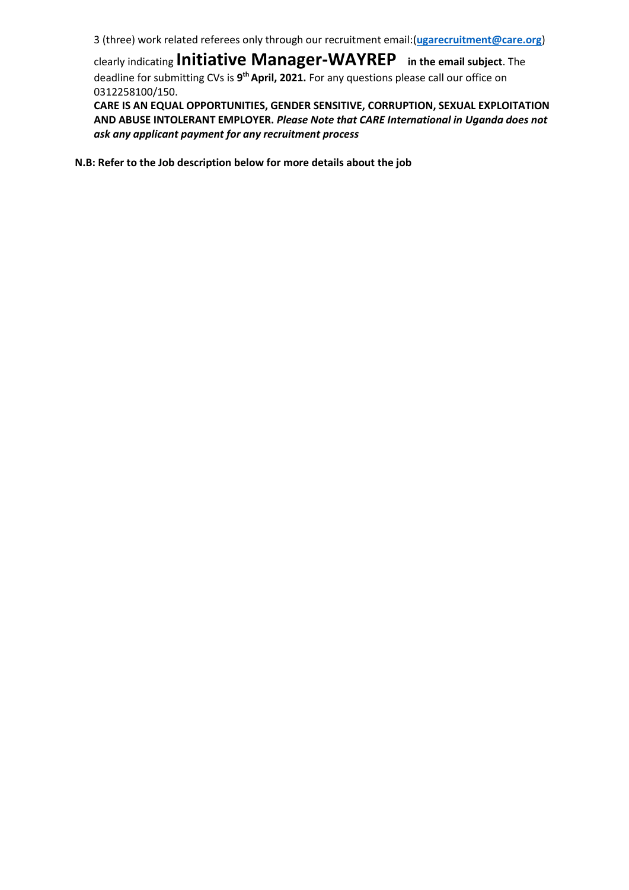3 (three) work related referees only through our recruitment email:(**[ugarecruitment@care.org](mailto:ugarecruitment@care.org)**)

clearly indicating **Initiative Manager-WAYREP in the email subject**. The deadline for submitting CVs is **9 th April, 2021.** For any questions please call our office on 0312258100/150.

**CARE IS AN EQUAL OPPORTUNITIES, GENDER SENSITIVE, CORRUPTION, SEXUAL EXPLOITATION AND ABUSE INTOLERANT EMPLOYER.** *Please Note that CARE International in Uganda does not ask any applicant payment for any recruitment process*

**N.B: Refer to the Job description below for more details about the job**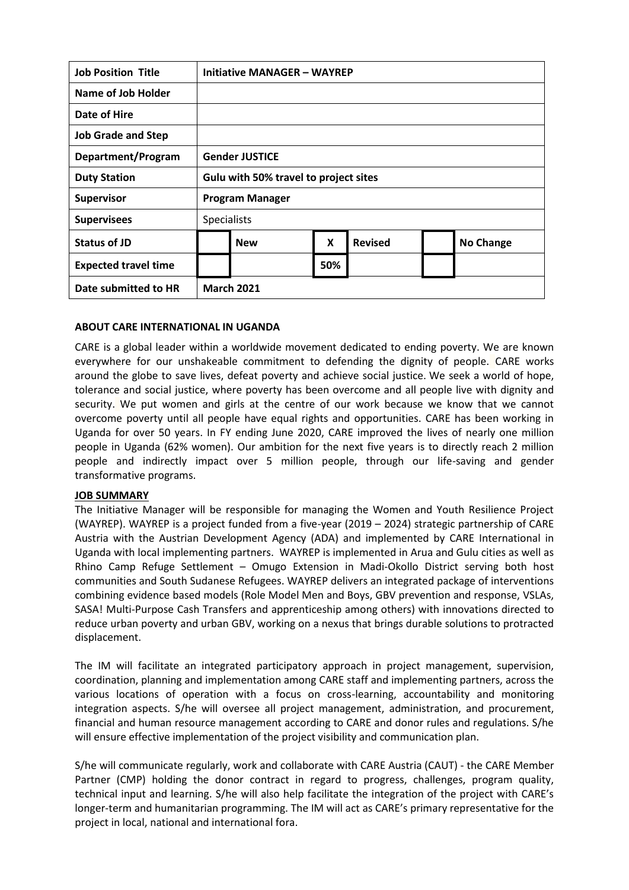| <b>Job Position Title</b>   | Initiative MANAGER - WAYREP           |            |     |                |  |                  |
|-----------------------------|---------------------------------------|------------|-----|----------------|--|------------------|
| Name of Job Holder          |                                       |            |     |                |  |                  |
| Date of Hire                |                                       |            |     |                |  |                  |
| <b>Job Grade and Step</b>   |                                       |            |     |                |  |                  |
| Department/Program          | <b>Gender JUSTICE</b>                 |            |     |                |  |                  |
| <b>Duty Station</b>         | Gulu with 50% travel to project sites |            |     |                |  |                  |
| <b>Supervisor</b>           | <b>Program Manager</b>                |            |     |                |  |                  |
| <b>Supervisees</b>          | <b>Specialists</b>                    |            |     |                |  |                  |
| Status of JD                |                                       | <b>New</b> | X   | <b>Revised</b> |  | <b>No Change</b> |
| <b>Expected travel time</b> |                                       |            | 50% |                |  |                  |
| Date submitted to HR        | <b>March 2021</b>                     |            |     |                |  |                  |

### **ABOUT CARE INTERNATIONAL IN UGANDA**

CARE is a global leader within a worldwide movement dedicated to ending poverty. We are known everywhere for our unshakeable commitment to defending the dignity of people. CARE works around the globe to save lives, defeat poverty and achieve social justice. We seek a world of hope, tolerance and social justice, where poverty has been overcome and all people live with dignity and security. We put women and girls at the centre of our work because we know that we cannot overcome poverty until all people have equal rights and opportunities. CARE has been working in Uganda for over 50 years. In FY ending June 2020, CARE improved the lives of nearly one million people in Uganda (62% women). Our ambition for the next five years is to directly reach 2 million people and indirectly impact over 5 million people, through our life-saving and gender transformative programs.

#### **JOB SUMMARY**

The Initiative Manager will be responsible for managing the Women and Youth Resilience Project (WAYREP). WAYREP is a project funded from a five-year (2019 – 2024) strategic partnership of CARE Austria with the Austrian Development Agency (ADA) and implemented by CARE International in Uganda with local implementing partners. WAYREP is implemented in Arua and Gulu cities as well as Rhino Camp Refuge Settlement – Omugo Extension in Madi-Okollo District serving both host communities and South Sudanese Refugees. WAYREP delivers an integrated package of interventions combining evidence based models (Role Model Men and Boys, GBV prevention and response, VSLAs, SASA! Multi-Purpose Cash Transfers and apprenticeship among others) with innovations directed to reduce urban poverty and urban GBV, working on a nexus that brings durable solutions to protracted displacement.

The IM will facilitate an integrated participatory approach in project management, supervision, coordination, planning and implementation among CARE staff and implementing partners, across the various locations of operation with a focus on cross-learning, accountability and monitoring integration aspects. S/he will oversee all project management, administration, and procurement, financial and human resource management according to CARE and donor rules and regulations. S/he will ensure effective implementation of the project visibility and communication plan.

S/he will communicate regularly, work and collaborate with CARE Austria (CAUT) - the CARE Member Partner (CMP) holding the donor contract in regard to progress, challenges, program quality, technical input and learning. S/he will also help facilitate the integration of the project with CARE's longer-term and humanitarian programming. The IM will act as CARE's primary representative for the project in local, national and international fora.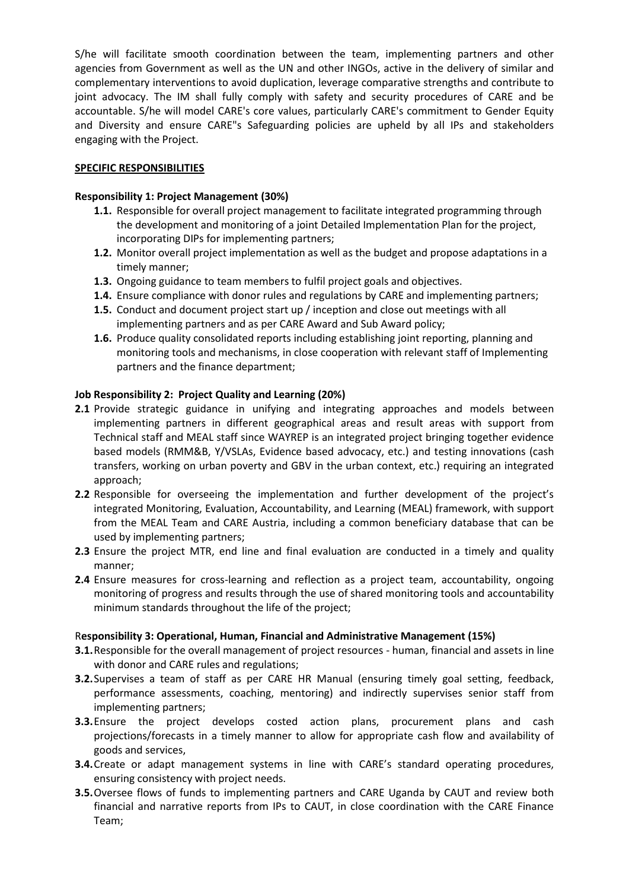S/he will facilitate smooth coordination between the team, implementing partners and other agencies from Government as well as the UN and other INGOs, active in the delivery of similar and complementary interventions to avoid duplication, leverage comparative strengths and contribute to joint advocacy. The IM shall fully comply with safety and security procedures of CARE and be accountable. S/he will model CARE's core values, particularly CARE's commitment to Gender Equity and Diversity and ensure CARE"s Safeguarding policies are upheld by all IPs and stakeholders engaging with the Project.

## **SPECIFIC RESPONSIBILITIES**

## **Responsibility 1: Project Management (30%)**

- **1.1.** Responsible for overall project management to facilitate integrated programming through the development and monitoring of a joint Detailed Implementation Plan for the project, incorporating DIPs for implementing partners;
- **1.2.** Monitor overall project implementation as well as the budget and propose adaptations in a timely manner;
- **1.3.** Ongoing guidance to team members to fulfil project goals and objectives.
- **1.4.** Ensure compliance with donor rules and regulations by CARE and implementing partners;
- **1.5.** Conduct and document project start up / inception and close out meetings with all implementing partners and as per CARE Award and Sub Award policy;
- **1.6.** Produce quality consolidated reports including establishing joint reporting, planning and monitoring tools and mechanisms, in close cooperation with relevant staff of Implementing partners and the finance department;

# **Job Responsibility 2: Project Quality and Learning (20%)**

- **2.1** Provide strategic guidance in unifying and integrating approaches and models between implementing partners in different geographical areas and result areas with support from Technical staff and MEAL staff since WAYREP is an integrated project bringing together evidence based models (RMM&B, Y/VSLAs, Evidence based advocacy, etc.) and testing innovations (cash transfers, working on urban poverty and GBV in the urban context, etc.) requiring an integrated approach;
- **2.2** Responsible for overseeing the implementation and further development of the project's integrated Monitoring, Evaluation, Accountability, and Learning (MEAL) framework, with support from the MEAL Team and CARE Austria, including a common beneficiary database that can be used by implementing partners;
- **2.3** Ensure the project MTR, end line and final evaluation are conducted in a timely and quality manner;
- **2.4** Ensure measures for cross-learning and reflection as a project team, accountability, ongoing monitoring of progress and results through the use of shared monitoring tools and accountability minimum standards throughout the life of the project;

# R**esponsibility 3: Operational, Human, Financial and Administrative Management (15%)**

- **3.1.**Responsible for the overall management of project resources human, financial and assets in line with donor and CARE rules and regulations;
- **3.2.**Supervises a team of staff as per CARE HR Manual (ensuring timely goal setting, feedback, performance assessments, coaching, mentoring) and indirectly supervises senior staff from implementing partners;
- **3.3.**Ensure the project develops costed action plans, procurement plans and cash projections/forecasts in a timely manner to allow for appropriate cash flow and availability of goods and services,
- **3.4.**Create or adapt management systems in line with CARE's standard operating procedures, ensuring consistency with project needs.
- **3.5.**Oversee flows of funds to implementing partners and CARE Uganda by CAUT and review both financial and narrative reports from IPs to CAUT, in close coordination with the CARE Finance Team;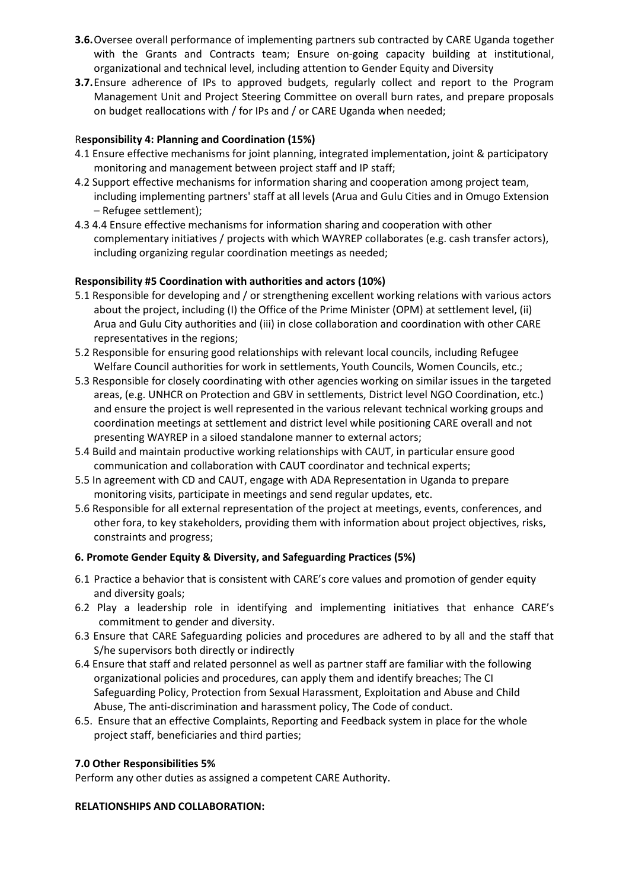- **3.6.**Oversee overall performance of implementing partners sub contracted by CARE Uganda together with the Grants and Contracts team; Ensure on-going capacity building at institutional, organizational and technical level, including attention to Gender Equity and Diversity
- **3.7.**Ensure adherence of IPs to approved budgets, regularly collect and report to the Program Management Unit and Project Steering Committee on overall burn rates, and prepare proposals on budget reallocations with / for IPs and / or CARE Uganda when needed;

# R**esponsibility 4: Planning and Coordination (15%)**

- 4.1 Ensure effective mechanisms for joint planning, integrated implementation, joint & participatory monitoring and management between project staff and IP staff;
- 4.2 Support effective mechanisms for information sharing and cooperation among project team, including implementing partners' staff at all levels (Arua and Gulu Cities and in Omugo Extension – Refugee settlement);
- 4.3 4.4 Ensure effective mechanisms for information sharing and cooperation with other complementary initiatives / projects with which WAYREP collaborates (e.g. cash transfer actors), including organizing regular coordination meetings as needed;

### **Responsibility #5 Coordination with authorities and actors (10%)**

- 5.1 Responsible for developing and / or strengthening excellent working relations with various actors about the project, including (I) the Office of the Prime Minister (OPM) at settlement level, (ii) Arua and Gulu City authorities and (iii) in close collaboration and coordination with other CARE representatives in the regions;
- 5.2 Responsible for ensuring good relationships with relevant local councils, including Refugee Welfare Council authorities for work in settlements, Youth Councils, Women Councils, etc.;
- 5.3 Responsible for closely coordinating with other agencies working on similar issues in the targeted areas, (e.g. UNHCR on Protection and GBV in settlements, District level NGO Coordination, etc.) and ensure the project is well represented in the various relevant technical working groups and coordination meetings at settlement and district level while positioning CARE overall and not presenting WAYREP in a siloed standalone manner to external actors;
- 5.4 Build and maintain productive working relationships with CAUT, in particular ensure good communication and collaboration with CAUT coordinator and technical experts;
- 5.5 In agreement with CD and CAUT, engage with ADA Representation in Uganda to prepare monitoring visits, participate in meetings and send regular updates, etc.
- 5.6 Responsible for all external representation of the project at meetings, events, conferences, and other fora, to key stakeholders, providing them with information about project objectives, risks, constraints and progress;

### **6. Promote Gender Equity & Diversity, and Safeguarding Practices (5%)**

- 6.1 Practice a behavior that is consistent with CARE's core values and promotion of gender equity and diversity goals;
- 6.2 Play a leadership role in identifying and implementing initiatives that enhance CARE's commitment to gender and diversity.
- 6.3 Ensure that CARE Safeguarding policies and procedures are adhered to by all and the staff that S/he supervisors both directly or indirectly
- 6.4 Ensure that staff and related personnel as well as partner staff are familiar with the following organizational policies and procedures, can apply them and identify breaches; The CI Safeguarding Policy, Protection from Sexual Harassment, Exploitation and Abuse and Child Abuse, The anti-discrimination and harassment policy, The Code of conduct.
- 6.5. Ensure that an effective Complaints, Reporting and Feedback system in place for the whole project staff, beneficiaries and third parties;

### **7.0 Other Responsibilities 5%**

Perform any other duties as assigned a competent CARE Authority.

### **RELATIONSHIPS AND COLLABORATION:**